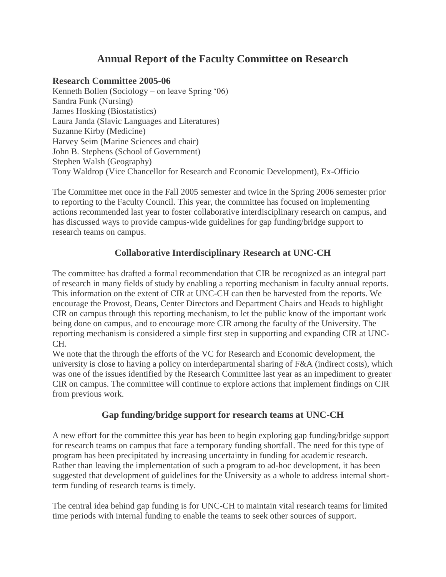## **Annual Report of the Faculty Committee on Research**

## **Research Committee 2005-06**

Kenneth Bollen (Sociology – on leave Spring '06) Sandra Funk (Nursing) James Hosking (Biostatistics) Laura Janda (Slavic Languages and Literatures) Suzanne Kirby (Medicine) Harvey Seim (Marine Sciences and chair) John B. Stephens (School of Government) Stephen Walsh (Geography) Tony Waldrop (Vice Chancellor for Research and Economic Development), Ex-Officio

The Committee met once in the Fall 2005 semester and twice in the Spring 2006 semester prior to reporting to the Faculty Council. This year, the committee has focused on implementing actions recommended last year to foster collaborative interdisciplinary research on campus, and has discussed ways to provide campus-wide guidelines for gap funding/bridge support to research teams on campus.

## **Collaborative Interdisciplinary Research at UNC-CH**

The committee has drafted a formal recommendation that CIR be recognized as an integral part of research in many fields of study by enabling a reporting mechanism in faculty annual reports. This information on the extent of CIR at UNC-CH can then be harvested from the reports. We encourage the Provost, Deans, Center Directors and Department Chairs and Heads to highlight CIR on campus through this reporting mechanism, to let the public know of the important work being done on campus, and to encourage more CIR among the faculty of the University. The reporting mechanism is considered a simple first step in supporting and expanding CIR at UNC-CH.

We note that the through the efforts of the VC for Research and Economic development, the university is close to having a policy on interdepartmental sharing of F&A (indirect costs), which was one of the issues identified by the Research Committee last year as an impediment to greater CIR on campus. The committee will continue to explore actions that implement findings on CIR from previous work.

## **Gap funding/bridge support for research teams at UNC-CH**

A new effort for the committee this year has been to begin exploring gap funding/bridge support for research teams on campus that face a temporary funding shortfall. The need for this type of program has been precipitated by increasing uncertainty in funding for academic research. Rather than leaving the implementation of such a program to ad-hoc development, it has been suggested that development of guidelines for the University as a whole to address internal shortterm funding of research teams is timely.

The central idea behind gap funding is for UNC-CH to maintain vital research teams for limited time periods with internal funding to enable the teams to seek other sources of support.